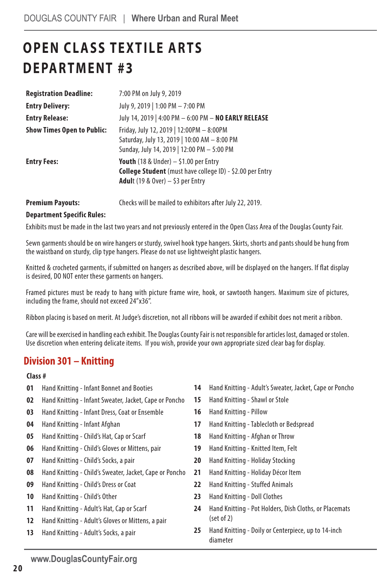# **OPEN CLASS TEXTILE ARTS DEPARTMENT #3**

| <b>Registration Deadline:</b>     | 7:00 PM on July 9, 2019                                                                                                                                           |
|-----------------------------------|-------------------------------------------------------------------------------------------------------------------------------------------------------------------|
| <b>Entry Delivery:</b>            | July 9, 2019   1:00 PM - 7:00 PM                                                                                                                                  |
| <b>Entry Release:</b>             | July 14, 2019   4:00 PM - 6:00 PM - NO EARLY RELEASE                                                                                                              |
| <b>Show Times Open to Public:</b> | Friday, July 12, 2019   12:00PM - 8:00PM<br>Saturday, July 13, 2019   10:00 AM - 8:00 PM<br>Sunday, July 14, 2019   12:00 PM - 5:00 PM                            |
| <b>Entry Fees:</b>                | <b>Youth</b> (18 & Under) $-$ \$1.00 per Entry<br><b>College Student</b> (must have college ID) - \$2.00 per Entry<br><b>Adul</b> t (19 & Over) $-$ \$3 per Entry |

**Premium Payouts:** Checks will be mailed to exhibitors after July 22, 2019.

#### **Department Specific Rules:**

Exhibits must be made in the last two years and not previously entered in the Open Class Area of the Douglas County Fair.

Sewn garments should be on wire hangers or sturdy, swivel hook type hangers. Skirts, shorts and pants should be hung from the waistband on sturdy, clip type hangers. Please do not use lightweight plastic hangers.

Knitted & crocheted garments, if submitted on hangers as described above, will be displayed on the hangers. If flat display is desired, DO NOT enter these garments on hangers.

Framed pictures must be ready to hang with picture frame wire, hook, or sawtooth hangers. Maximum size of pictures, including the frame, should not exceed 24"x36".

Ribbon placing is based on merit. At Judge's discretion, not all ribbons will be awarded if exhibit does not merit a ribbon.

Care will be exercised in handling each exhibit. The Douglas County Fair is not responsible for articles lost, damaged or stolen. Use discretion when entering delicate items. If you wish, provide your own appropriate sized clear bag for display.

### **Division 301 – Knitting**

### **Class #**

- **01** Hand Knitting Infant Bonnet and Booties
- **02** Hand Knitting Infant Sweater, Jacket, Cape or Poncho
- **03** Hand Knitting Infant Dress, Coat or Ensemble
- **04** Hand Knitting Infant Afghan
- **05** Hand Knitting Child's Hat, Cap or Scarf
- **06** Hand Knitting Child's Gloves or Mittens, pair
- **07** Hand Knitting Child's Socks, a pair
- **08** Hand Knitting Child's Sweater, Jacket, Cape or Poncho
- **09** Hand Knitting Child's Dress or Coat
- **10** Hand Knitting Child's Other
- **11** Hand Knitting Adult's Hat, Cap or Scarf
- **12** Hand Knitting Adult's Gloves or Mittens, a pair
- **13** Hand Knitting Adult's Socks, a pair
- **14** Hand Knitting Adult's Sweater, Jacket, Cape or Poncho
- **15** Hand Knitting Shawl or Stole
- **16** Hand Knitting Pillow
- **17** Hand Knitting Tablecloth or Bedspread
- **18** Hand Knitting Afghan or Throw
- **19** Hand Knitting Knitted Item, Felt
- **20** Hand Knitting Holiday Stocking
- **21** Hand Knitting Holiday Décor Item
- **22** Hand Knitting Stuffed Animals
- **23** Hand Knitting Doll Clothes
- **24** Hand Knitting Pot Holders, Dish Cloths, or Placemats (set of 2)
- **25** Hand Knitting Doily or Centerpiece, up to 14-inch diameter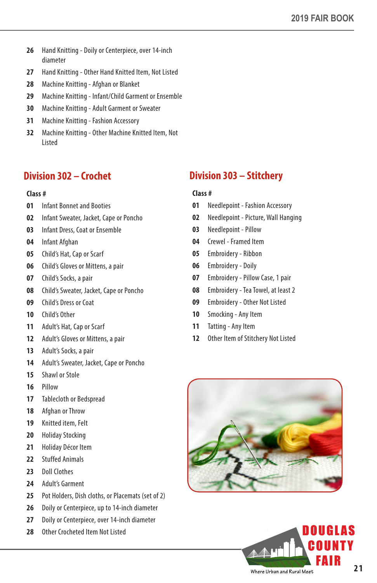- Hand Knitting Doily or Centerpiece, over 14-inch diameter
- Hand Knitting Other Hand Knitted Item, Not Listed
- Machine Knitting Afghan or Blanket
- Machine Knitting Infant/Child Garment or Ensemble
- Machine Knitting Adult Garment or Sweater
- Machine Knitting Fashion Accessory
- Machine Knitting Other Machine Knitted Item, Not Listed

# **Division 302 – Crochet**

### **Class #**

- Infant Bonnet and Booties
- Infant Sweater, Jacket, Cape or Poncho
- Infant Dress, Coat or Ensemble
- Infant Afghan
- Child's Hat, Cap or Scarf
- Child's Gloves or Mittens, a pair
- Child's Socks, a pair
- Child's Sweater, Jacket, Cape or Poncho
- Child's Dress or Coat
- Child's Other
- Adult's Hat, Cap or Scarf
- Adult's Gloves or Mittens, a pair
- Adult's Socks, a pair
- Adult's Sweater, Jacket, Cape or Poncho
- Shawl or Stole
- Pillow
- Tablecloth or Bedspread
- Afghan or Throw
- Knitted item, Felt
- Holiday Stocking
- Holiday Décor Item
- Stuffed Animals
- Doll Clothes
- Adult's Garment
- Pot Holders, Dish cloths, or Placemats (set of 2)
- Doily or Centerpiece, up to 14-inch diameter
- Doily or Centerpiece, over 14-inch diameter
- Other Crocheted Item Not Listed

# **Division 303 – Stitchery**

#### **Class #**

- Needlepoint Fashion Accessory
- Needlepoint Picture, Wall Hanging
- Needlepoint Pillow
- Crewel Framed Item
- Embroidery Ribbon
- Embroidery Doily
- Embroidery Pillow Case, 1 pair
- Embroidery Tea Towel, at least 2
- Embroidery Other Not Listed
- Smocking Any Item
- Tatting Any Item
- Other Item of Stitchery Not Listed